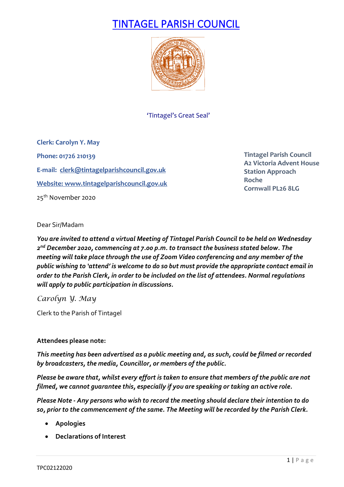# TINTAGEL PARISH COUNCIL



'Tintagel's Great Seal'

**Clerk: Carolyn Y. May Phone: 01726 210139 E-mail: [clerk@tintagelparishcouncil.gov.uk](mailto:clerk@tintagelparishcouncil.gov.uk) Website[: www.tintagelparishcouncil.gov.uk](http://www.tintagelparishcouncil.gov.uk/)** 25<sup>th</sup> November 2020

**Tintagel Parish Council A2 Victoria Advent House Station Approach Roche Cornwall PL26 8LG**

Dear Sir/Madam

*You are invited to attend a virtual Meeting of Tintagel Parish Council to be held on Wednesday 2nd December 2020, commencing at 7.00 p.m. to transact the business stated below. The meeting will take place through the use of Zoom Video conferencing and any member of the public wishing to 'attend' is welcome to do so but must provide the appropriate contact email in order to the Parish Clerk, in order to be included on the list of attendees. Normal regulations will apply to public participation in discussions.*

*Carolyn Y. May*

Clerk to the Parish of Tintagel

# **Attendees please note:**

*This meeting has been advertised as a public meeting and, as such, could be filmed or recorded by broadcasters, the media, Councillor, or members of the public.*

*Please be aware that, whilst every effort is taken to ensure that members of the public are not filmed, we cannot guarantee this, especially if you are speaking or taking an active role.*

*Please Note - Any persons who wish to record the meeting should declare their intention to do so, prior to the commencement of the same. The Meeting will be recorded by the Parish Clerk.*

- **Apologies**
- **Declarations of Interest**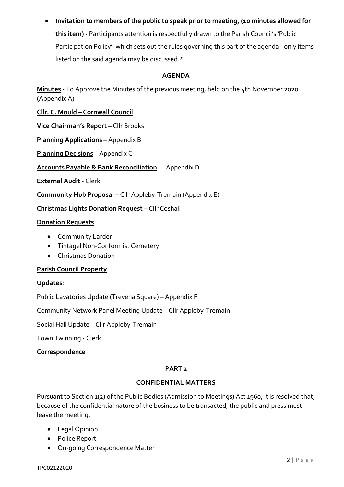• **Invitation to members of the public to speak prior to meeting, (10 minutes allowed for this item) -** Participants attention is respectfully drawn to the Parish Council's 'Public Participation Policy', which sets out the rules governing this part of the agenda - only items listed on the said agenda may be discussed.\*

# **AGENDA**

**Minutes -** To Approve the Minutes of the previous meeting, held on the 4th November 2020 (Appendix A)

**Cllr. C. Mould – Cornwall Council**

**Vice Chairman's Report –** Cllr Brooks

**Planning Applications** – Appendix B

**Planning Decisions** – Appendix C

**Accounts Payable & Bank Reconciliation** – Appendix D

**External Audit -** Clerk

**Community Hub Proposal –** Cllr Appleby-Tremain (Appendix E)

**Christmas Lights Donation Request –** Cllr Coshall

# **Donation Requests**

- Community Larder
- Tintagel Non-Conformist Cemetery
- Christmas Donation

# **Parish Council Property**

# **Updates**:

Public Lavatories Update (Trevena Square) – Appendix F

Community Network Panel Meeting Update – Cllr Appleby-Tremain

Social Hall Update – Cllr Appleby-Tremain

Town Twinning - Clerk

# **Correspondence**

# **PART 2**

# **CONFIDENTIAL MATTERS**

Pursuant to Section 1(2) of the Public Bodies (Admission to Meetings) Act 1960, it is resolved that, because of the confidential nature of the business to be transacted, the public and press must leave the meeting.

- Legal Opinion
- Police Report
- On-going Correspondence Matter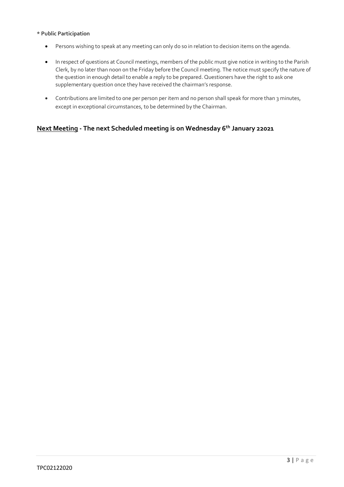#### **\* Public Participation**

- Persons wishing to speak at any meeting can only do so in relation to decision items on the agenda.
- In respect of questions at Council meetings, members of the public must give notice in writing to the Parish Clerk, by no later than noon on the Friday before the Council meeting. The notice must specify the nature of the question in enough detail to enable a reply to be prepared. Questioners have the right to ask one supplementary question once they have received the chairman's response.
- Contributions are limited to one per person per item and no person shall speak for more than 3 minutes, except in exceptional circumstances, to be determined by the Chairman.

# **Next Meeting - The next Scheduled meeting is on Wednesday 6th January 22021**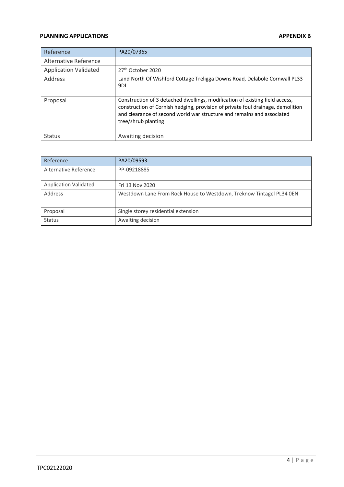#### **PLANNING APPLICATIONS APPENDIX B**

| Reference                    | PA20/07365                                                                                                                                                                                                                                                       |
|------------------------------|------------------------------------------------------------------------------------------------------------------------------------------------------------------------------------------------------------------------------------------------------------------|
| Alternative Reference        |                                                                                                                                                                                                                                                                  |
| <b>Application Validated</b> | 27 <sup>th</sup> October 2020                                                                                                                                                                                                                                    |
| Address                      | Land North Of Wishford Cottage Treligga Downs Road, Delabole Cornwall PL33<br>9DL                                                                                                                                                                                |
| Proposal                     | Construction of 3 detached dwellings, modification of existing field access,<br>construction of Cornish hedging, provision of private foul drainage, demolition<br>and clearance of second world war structure and remains and associated<br>tree/shrub planting |
| <b>Status</b>                | Awaiting decision                                                                                                                                                                                                                                                |

| Reference                    | PA20/09593                                                           |
|------------------------------|----------------------------------------------------------------------|
| Alternative Reference        | PP-09218885                                                          |
| <b>Application Validated</b> | Fri 13 Nov 2020                                                      |
| Address                      | Westdown Lane From Rock House to Westdown, Treknow Tintagel PL34 0EN |
| Proposal                     | Single storey residential extension                                  |
| <b>Status</b>                | Awaiting decision                                                    |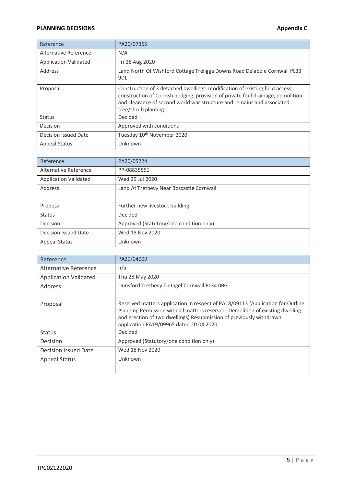# **PLANNING DECISIONS Appendix C**

| Reference                    | PA20/07365                                                                                                                                                                                                                                                       |
|------------------------------|------------------------------------------------------------------------------------------------------------------------------------------------------------------------------------------------------------------------------------------------------------------|
| Alternative Reference        | N/A                                                                                                                                                                                                                                                              |
| <b>Application Validated</b> | Fri 28 Aug 2020                                                                                                                                                                                                                                                  |
| Address                      | Land North Of Wishford Cottage Treligga Downs Road Delabole Cornwall PL33<br>9 <sub>DL</sub>                                                                                                                                                                     |
| Proposal                     | Construction of 3 detached dwellings, modification of existing field access,<br>construction of Cornish hedging, provision of private foul drainage, demolition<br>and clearance of second world war structure and remains and associated<br>tree/shrub planting |
| <b>Status</b>                | Decided                                                                                                                                                                                                                                                          |
| Decision                     | Approved with conditions                                                                                                                                                                                                                                         |
| Decision Issued Date         | Tuesday 10th November 2020                                                                                                                                                                                                                                       |
| <b>Appeal Status</b>         | Unknown                                                                                                                                                                                                                                                          |

| Reference                    | PA20/05224                               |  |  |  |
|------------------------------|------------------------------------------|--|--|--|
| Alternative Reference        | PP-08835551                              |  |  |  |
| <b>Application Validated</b> | Wed 29 Jul 2020                          |  |  |  |
| Address                      | Land At Trethevy Near Boscastle Cornwall |  |  |  |
| Proposal                     | Further new livestock building           |  |  |  |
| <b>Status</b>                | Decided                                  |  |  |  |
| Decision                     | Approved (Statutory/one condition only)  |  |  |  |
| <b>Decision Issued Date</b>  | Wed 18 Nov 2020                          |  |  |  |
| <b>Appeal Status</b>         | Unknown                                  |  |  |  |

| Reference                    | PA20/04009                                                                                                                                                                                                                                                                         |  |  |  |
|------------------------------|------------------------------------------------------------------------------------------------------------------------------------------------------------------------------------------------------------------------------------------------------------------------------------|--|--|--|
| Alternative Reference        | n/a                                                                                                                                                                                                                                                                                |  |  |  |
| <b>Application Validated</b> | Thu 28 May 2020                                                                                                                                                                                                                                                                    |  |  |  |
| Address                      | Dunsford Trethevy Tintagel Cornwall PL34 0BG                                                                                                                                                                                                                                       |  |  |  |
| Proposal                     | Reserved matters application in respect of PA18/09113 (Application for Outline<br>Planning Permission with all matters reserved: Demolition of existing dwelling<br>and erection of two dwellings) Resubmission of previously withdrawn<br>application PA19/09965 dated 20.04.2020 |  |  |  |
| <b>Status</b>                | Decided                                                                                                                                                                                                                                                                            |  |  |  |
| Decision                     | Approved (Statutory/one condition only)                                                                                                                                                                                                                                            |  |  |  |
| <b>Decision Issued Date</b>  | Wed 18 Nov 2020                                                                                                                                                                                                                                                                    |  |  |  |
| <b>Appeal Status</b>         | Unknown                                                                                                                                                                                                                                                                            |  |  |  |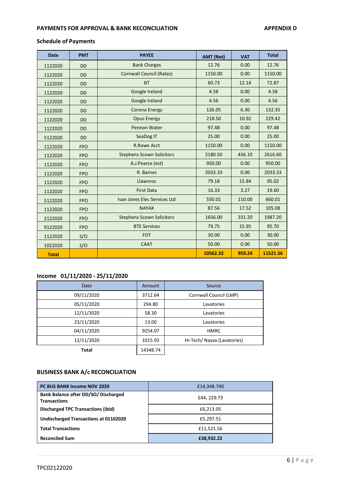# **PAYMENTS FOR APPROVAL & BANK RECONCILIATION APPENDIX D**

# **Schedule of Payments**

| <b>Date</b>  | <b>PMT</b> | <b>PAYEE</b>                     | <b>AMT (Net)</b> | <b>VAT</b> | <b>Total</b> |
|--------------|------------|----------------------------------|------------------|------------|--------------|
| 1122020      | <b>DD</b>  | <b>Bank Charges</b>              | 12.76            | 0.00       | 12.76        |
| 1122020      | <b>DD</b>  | <b>Cornwall Council (Rates)</b>  | 1150.00          | 0.00       | 1150.00      |
| 1122020      | <b>DD</b>  | <b>BT</b>                        | 60.73            | 12.14      | 72.87        |
| 1122020      | <b>DD</b>  | Google Ireland                   | 4.58             | 0.00       | 4.58         |
| 1122020      | <b>DD</b>  | Google Ireland                   | 4.56             | 0.00       | 4.56         |
| 1122020      | <b>DD</b>  | Corona Energy                    | 126.05           | 6.30       | 132.35       |
| 1122020      | <b>DD</b>  | <b>Opus Energy</b>               | 218.50           | 10.92      | 229.42       |
| 1122020      | <b>DD</b>  | Pennon Water                     | 97.48            | 0.00       | 97.48        |
| 5122020      | <b>DD</b>  | SeaDog IT                        | 25.00            | 0.00       | 25.00        |
| 1122020      | <b>FPO</b> | <b>R.Rowe Acct</b>               | 1150.00          | 0.00       | 1150.00      |
| 1122020      | <b>FPO</b> | <b>Stephens Scown Solicitors</b> | 2180.50          | 436.10     | 2616.60      |
| 1122020      | <b>FPO</b> | A.J.Pearce (est)                 | 950.00           | 0.00       | 950.00       |
| 1122020      | <b>FPO</b> | R. Barnes                        | 2033.33          | 0.00       | 2033.33      |
| 1122020      | <b>FPO</b> | Llawnroc                         | 79.18            | 15.84      | 95.02        |
| 1122020      | <b>FPO</b> | <b>First Data</b>                | 16.33            | 3.27       | 19.60        |
| 5122020      | <b>FPO</b> | Ivan Jones Elec Services Ltd     | 550.01           | 110.00     | 660.01       |
| 1122020      | <b>FPO</b> | <b>NAYAX</b>                     | 87.56            | 17.52      | 105.08       |
| 2122020      | <b>FPO</b> | <b>Stephens Scown Solicitors</b> | 1656.00          | 331.20     | 1987.20      |
| 9122020      | <b>FPO</b> | <b>BTE Services</b>              | 79.75            | 15.95      | 95.70        |
| 1122020      | S/O        | <b>FOT</b>                       | 30.00            | 0.00       | 30.00        |
| 1022020      | S/O        | <b>CAAT</b>                      | 50.00            | 0.00       | 50.00        |
| <b>Total</b> |            |                                  | 10562.32         | 959.24     | 11521.56     |

# **Income 01/11/2020 - 25/11/2020**

| Date         | Amount   | Source                      |
|--------------|----------|-----------------------------|
| 09/11/2020   | 3712.64  | Cornwall Council (LMP)      |
| 05/11/2020   | 294.80   | Lavatories                  |
| 12/11/2020   | 58.30    | Lavatories                  |
| 23/11/2020   | 13.00    | Lavatories                  |
| 04/11/2020   | 9254.07  | <b>HMRC</b>                 |
| 12/11/2020   | 1015.93  | Hi-Tech/ Nayax (Lavatories) |
| <b>Total</b> | 14348.74 |                             |

# **BUSINESS BANK A/c RECONCILIATION**

| PC BUS BANK Income NOV 2020                                 | £14,348.740                           |  |  |
|-------------------------------------------------------------|---------------------------------------|--|--|
| Bank Balance after DD/SO/ Discharged<br><b>Transactions</b> | £44, 229.73<br>£6,213.05<br>£5,297.51 |  |  |
| <b>Discharged TPC Transactions (ibid)</b>                   |                                       |  |  |
| Undischarged Transactions at 01102020                       |                                       |  |  |
| <b>Total Transactions</b>                                   | £11,521.56                            |  |  |
| <b>Reconciled Sum</b>                                       | £38,932.22                            |  |  |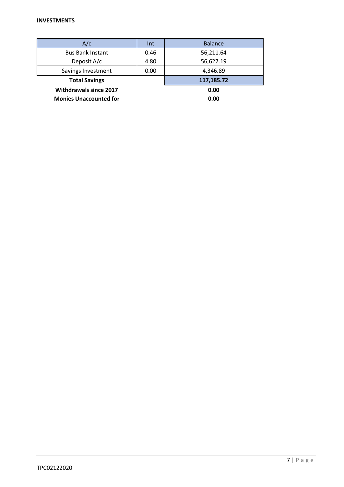| A/c                           | Int        | <b>Balance</b> |
|-------------------------------|------------|----------------|
| <b>Bus Bank Instant</b>       | 0.46       | 56,211.64      |
| Deposit A/c<br>4.80           |            | 56,627.19      |
| Savings Investment            | 0.00       | 4,346.89       |
| <b>Total Savings</b>          | 117,185.72 |                |
| <b>Withdrawals since 2017</b> | 0.00       |                |
| <b>Monies Unaccounted for</b> |            | 0.00           |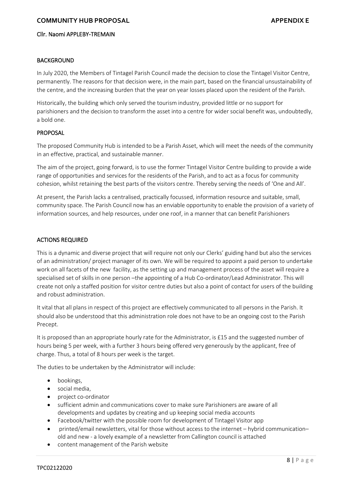# **COMMUNITY HUB PROPOSAL ACCOMMUNITY HUB PROPOSAL**

#### Cllr. Naomi APPLEBY-TREMAIN

#### **BACKGROUND**

In July 2020, the Members of Tintagel Parish Council made the decision to close the Tintagel Visitor Centre, permanently. The reasons for that decision were, in the main part, based on the financial unsustainability of the centre, and the increasing burden that the year on year losses placed upon the resident of the Parish.

Historically, the building which only served the tourism industry, provided little or no support for parishioners and the decision to transform the asset into a centre for wider social benefit was, undoubtedly, a bold one.

#### PROPOSAL

The proposed Community Hub is intended to be a Parish Asset, which will meet the needs of the community in an effective, practical, and sustainable manner.

The aim of the project, going forward, is to use the former Tintagel Visitor Centre building to provide a wide range of opportunities and services for the residents of the Parish, and to act as a focus for community cohesion, whilst retaining the best parts of the visitors centre. Thereby serving the needs of 'One and All'.

At present, the Parish lacks a centralised, practically focussed, information resource and suitable, small, community space. The Parish Council now has an enviable opportunity to enable the provision of a variety of information sources, and help resources, under one roof, in a manner that can benefit Parishioners

#### ACTIONS REQUIRED

This is a dynamic and diverse project that will require not only our Clerks' guiding hand but also the services of an administration/ project manager of its own. We will be required to appoint a paid person to undertake work on all facets of the new facility, as the setting up and management process of the asset will require a specialised set of skills in one person –the appointing of a Hub Co-ordinator/Lead Administrator. This will create not only a staffed position for visitor centre duties but also a point of contact for users of the building and robust administration.

It vital that all plans in respect of this project are effectively communicated to all persons in the Parish. It should also be understood that this administration role does not have to be an ongoing cost to the Parish Precept.

It is proposed than an appropriate hourly rate for the Administrator, is £15 and the suggested number of hours being 5 per week, with a further 3 hours being offered very generously by the applicant, free of charge. Thus, a total of 8 hours per week is the target.

The duties to be undertaken by the Administrator will include:

- bookings,
- social media,
- project co-ordinator
- sufficient admin and communications cover to make sure Parishioners are aware of all developments and updates by creating and up keeping social media accounts
- Facebook/twitter with the possible room for development of Tintagel Visitor app
- printed/email newsletters, vital for those without access to the internet hybrid communication– old and new - a lovely example of a newsletter from Callington council is attached
- content management of the Parish website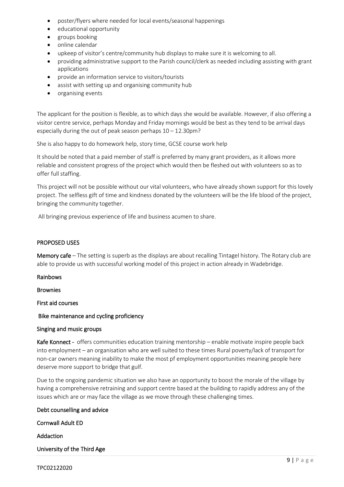- poster/flyers where needed for local events/seasonal happenings
- educational opportunity
- groups booking
- online calendar
- upkeep of visitor's centre/community hub displays to make sure it is welcoming to all.
- providing administrative support to the Parish council/clerk as needed including assisting with grant applications
- provide an information service to visitors/tourists
- assist with setting up and organising community hub
- organising events

The applicant for the position is flexible, as to which days she would be available. However, if also offering a visitor centre service, perhaps Monday and Friday mornings would be best as they tend to be arrival days especially during the out of peak season perhaps 10 – 12.30pm?

She is also happy to do homework help, story time, GCSE course work help

It should be noted that a paid member of staff is preferred by many grant providers, as it allows more reliable and consistent progress of the project which would then be fleshed out with volunteers so as to offer full staffing.

This project will not be possible without our vital volunteers, who have already shown support for this lovely project. The selfless gift of time and kindness donated by the volunteers will be the life blood of the project, bringing the community together.

All bringing previous experience of life and business acumen to share.

# PROPOSED USES

Memory cafe – The setting is superb as the displays are about recalling Tintagel history. The Rotary club are able to provide us with successful working model of this project in action already in Wadebridge.

Rainbows

Brownies

First aid courses

Bike maintenance and cycling proficiency

# Singing and music groups

Kafe Konnect - offers communities education training mentorship – enable motivate inspire people back into employment – an organisation who are well suited to these times Rural poverty/lack of transport for non-car owners meaning inability to make the most pf employment opportunities meaning people here deserve more support to bridge that gulf.

Due to the ongoing pandemic situation we also have an opportunity to boost the morale of the village by having a comprehensive retraining and support centre based at the building to rapidly address any of the issues which are or may face the village as we move through these challenging times.

# Debt counselling and advice

Cornwall Adult ED

Addaction

University of the Third Age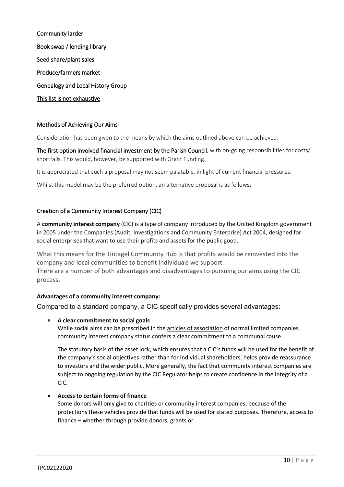Community larder Book swap / lending library Seed share/plant sales Produce/farmers market Genealogy and Local History Group This list is not exhaustive

# Methods of Achieving Our Aims

Consideration has been given to the means by which the aims outlined above can be achieved:

The first option involved financial investment by the Parish Council, with on-going responsibilities for costs/ shortfalls. This would, however, be supported with Grant Funding.

It is appreciated that such a proposal may not seem palatable, in light of current financial pressures.

Whilst this model may be the preferred option, an alternative proposal is as follows:

# Creation of a Community Interest Company (CIC)

A **community interest company** (CIC) is a type of company introduced by the United Kingdom government in 2005 under the Companies (Audit, Investigations and Community Enterprise) Act 2004, designed for social enterprises that want to use their profits and assets for the public good.

What this means for the Tintagel Community Hub is that profits would be reinvested into the company and local communities to benefit individuals we support. There are a number of both advantages and disadvantages to pursuing our aims using the CIC process.

# **Advantages of a community interest company:**

Compared to a standard company, a CIC specifically provides several advantages:

• **A clear commitment to social goals**

While social aims can be prescribed in the **[articles of association](https://www.informdirect.co.uk/company-records/memorandum-and-articles-of-association-explained/)** of normal limited companies, community interest company status confers a clear commitment to a communal cause.

The statutory basis of the asset lock, which ensures that a CIC's funds will be used for the benefit of the company's social objectives rather than for individual shareholders, helps provide reassurance to investors and the wider public. More generally, the fact that community interest companies are subject to ongoing regulation by the CIC Regulator helps to create confidence in the integrity of a CIC.

# • **Access to certain forms of finance**

Some donors will only give to charities or community interest companies, because of the protections these vehicles provide that funds will be used for stated purposes. Therefore, access to finance – whether through provide donors, grants or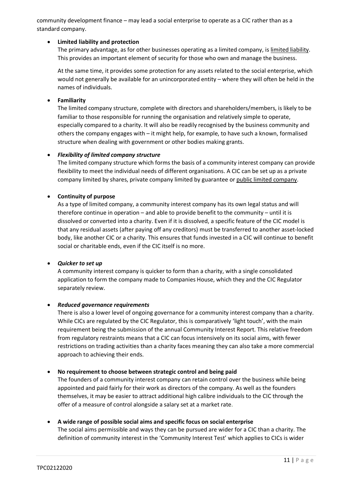community development finance – may lead a social enterprise to operate as a CIC rather than as a standard company.

# • **Limited liability and protection**

The primary advantage, as for other businesses operating as a limited company, is [limited liability.](https://www.informdirect.co.uk/company-formation/what-is-a-limited-company/) This provides an important element of security for those who own and manage the business.

At the same time, it provides some protection for any assets related to the social enterprise, which would not generally be available for an unincorporated entity – where they will often be held in the names of individuals.

# • **Familiarity**

The limited company structure, complete with directors and shareholders/members, is likely to be familiar to those responsible for running the organisation and relatively simple to operate, especially compared to a charity. It will also be readily recognised by the business community and others the company engages with – it might help, for example, to have such a known, formalised structure when dealing with government or other bodies making grants.

# • *Flexibility of limited company structure*

The limited company structure which forms the basis of a community interest company can provide flexibility to meet the individual needs of different organisations. A CIC can be set up as a private company limited by shares, private company limited by guarantee or [public limited company.](https://www.informdirect.co.uk/company-formation/public-limited-company-what-is-it/)

# • **Continuity of purpose**

As a type of limited company, a community interest company has its own legal status and will therefore continue in operation – and able to provide benefit to the community – until it is dissolved or converted into a charity. Even if it is dissolved, a specific feature of the CIC model is that any residual assets (after paying off any creditors) must be transferred to another asset-locked body, like another CIC or a charity. This ensures that funds invested in a CIC will continue to benefit social or charitable ends, even if the CIC itself is no more.

#### • *Quicker to set up*

A community interest company is quicker to form than a charity, with a single consolidated application to form the company made to Companies House, which they and the CIC Regulator separately review.

#### • *Reduced governance requirements*

There is also a lower level of ongoing governance for a community interest company than a charity. While CICs are regulated by the CIC Regulator, this is comparatively 'light touch', with the main requirement being the submission of the annual Community Interest Report. This relative freedom from regulatory restraints means that a CIC can focus intensively on its social aims, with fewer restrictions on trading activities than a charity faces meaning they can also take a more commercial approach to achieving their ends.

#### • **No requirement to choose between strategic control and being paid**

The founders of a community interest company can retain control over the business while being appointed and paid fairly for their work as directors of the company. As well as the founders themselves, it may be easier to attract additional high calibre individuals to the CIC through the offer of a measure of control alongside a salary set at a market rate.

#### • **A wide range of possible social aims and specific focus on social enterprise**

The social aims permissible and ways they can be pursued are wider for a CIC than a charity. The definition of community interest in the 'Community Interest Test' which applies to CICs is wider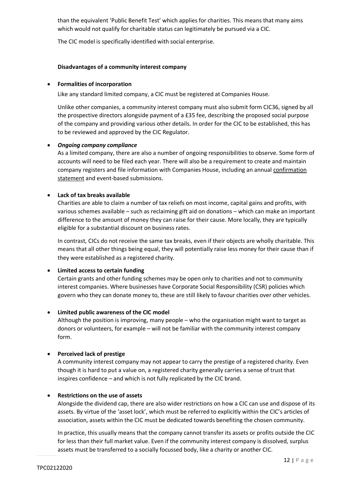than the equivalent 'Public Benefit Test' which applies for charities. This means that many aims which would not qualify for charitable status can legitimately be pursued via a CIC.

The CIC model is specifically identified with social enterprise.

### **Disadvantages of a community interest company**

### • **Formalities of incorporation**

Like any standard limited company, a CIC must be registered at Companies House.

Unlike other companies, a community interest company must also submit form CIC36, signed by all the prospective directors alongside payment of a £35 fee, describing the proposed social purpose of the company and providing various other details. In order for the CIC to be established, this has to be reviewed and approved by the CIC Regulator.

# • *Ongoing company compliance*

As a limited company, there are also a number of ongoing responsibilities to observe. Some form of accounts will need to be filed each year. There will also be a requirement to create and maintain company registers and file information with Companies House, including an annual [confirmation](https://www.informdirect.co.uk/confirmation-statements/confirmation-statement-companies-house-what-is-it/)  [statement](https://www.informdirect.co.uk/confirmation-statements/confirmation-statement-companies-house-what-is-it/) and event-based submissions.

# • **Lack of tax breaks available**

Charities are able to claim a number of tax reliefs on most income, capital gains and profits, with various schemes available – such as reclaiming gift aid on donations – which can make an important difference to the amount of money they can raise for their cause. More locally, they are typically eligible for a substantial discount on business rates.

In contrast, CICs do not receive the same tax breaks, even if their objects are wholly charitable. This means that all other things being equal, they will potentially raise less money for their cause than if they were established as a registered charity.

# • **Limited access to certain funding**

Certain grants and other funding schemes may be open only to charities and not to community interest companies. Where businesses have Corporate Social Responsibility (CSR) policies which govern who they can donate money to, these are still likely to favour charities over other vehicles.

# • **Limited public awareness of the CIC model**

Although the position is improving, many people – who the organisation might want to target as donors or volunteers, for example – will not be familiar with the community interest company form.

# • **Perceived lack of prestige**

A community interest company may not appear to carry the prestige of a registered charity. Even though it is hard to put a value on, a registered charity generally carries a sense of trust that inspires confidence – and which is not fully replicated by the CIC brand.

#### • **Restrictions on the use of assets**

Alongside the dividend cap, there are also wider restrictions on how a CIC can use and dispose of its assets. By virtue of the 'asset lock', which must be referred to explicitly within the CIC's articles of association, assets within the CIC must be dedicated towards benefiting the chosen community.

In practice, this usually means that the company cannot transfer its assets or profits outside the CIC for less than their full market value. Even if the community interest company is dissolved, surplus assets must be transferred to a socially focussed body, like a charity or another CIC.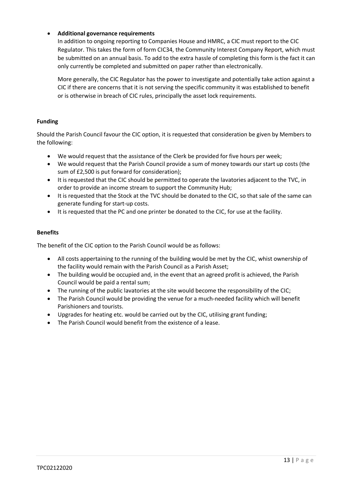# • **Additional governance requirements**

In addition to ongoing reporting to Companies House and HMRC, a CIC must report to the CIC Regulator. This takes the form of form CIC34, the Community Interest Company Report, which must be submitted on an annual basis. To add to the extra hassle of completing this form is the fact it can only currently be completed and submitted on paper rather than electronically.

More generally, the CIC Regulator has the power to investigate and potentially take action against a CIC if there are concerns that it is not serving the specific community it was established to benefit or is otherwise in breach of CIC rules, principally the asset lock requirements.

### **Funding**

Should the Parish Council favour the CIC option, it is requested that consideration be given by Members to the following:

- We would request that the assistance of the Clerk be provided for five hours per week;
- We would request that the Parish Council provide a sum of money towards our start up costs (the sum of £2,500 is put forward for consideration);
- It is requested that the CIC should be permitted to operate the lavatories adjacent to the TVC, in order to provide an income stream to support the Community Hub;
- It is requested that the Stock at the TVC should be donated to the CIC, so that sale of the same can generate funding for start-up costs.
- It is requested that the PC and one printer be donated to the CIC, for use at the facility.

#### **Benefits**

The benefit of the CIC option to the Parish Council would be as follows:

- All costs appertaining to the running of the building would be met by the CIC, whist ownership of the facility would remain with the Parish Council as a Parish Asset;
- The building would be occupied and, in the event that an agreed profit is achieved, the Parish Council would be paid a rental sum;
- The running of the public lavatories at the site would become the responsibility of the CIC;
- The Parish Council would be providing the venue for a much-needed facility which will benefit Parishioners and tourists.
- Upgrades for heating etc. would be carried out by the CIC, utilising grant funding;
- The Parish Council would benefit from the existence of a lease.